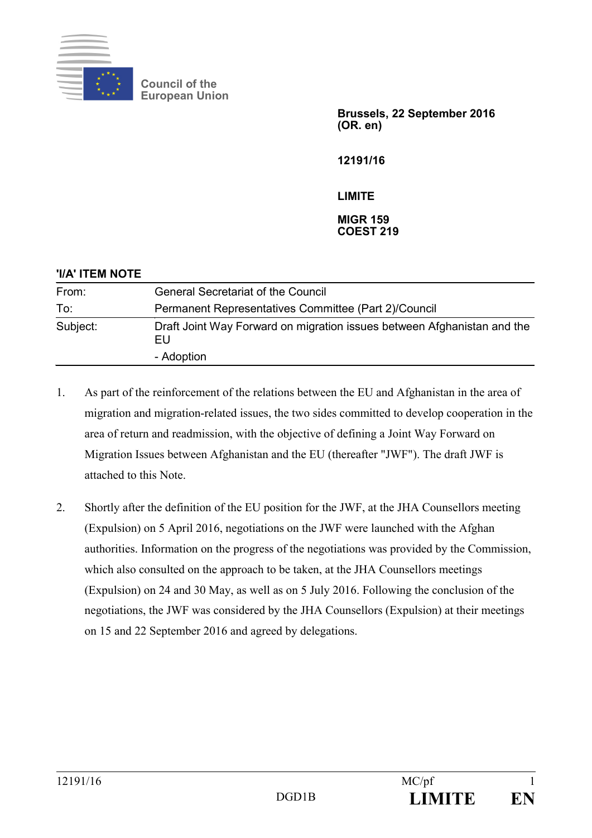

**Council of the European Union**

> **Brussels, 22 September 2016 (OR. en)**

**12191/16**

#### **LIMITE**

#### **MIGR 159 COEST 219**

| 'I/A' ITEM NOTE |                                                                               |
|-----------------|-------------------------------------------------------------------------------|
| From:           | <b>General Secretariat of the Council</b>                                     |
| To:             | Permanent Representatives Committee (Part 2)/Council                          |
| Subject:        | Draft Joint Way Forward on migration issues between Afghanistan and the<br>EU |
|                 | - Adoption                                                                    |

- 1. As part of the reinforcement of the relations between the EU and Afghanistan in the area of migration and migration-related issues, the two sides committed to develop cooperation in the area of return and readmission, with the objective of defining a Joint Way Forward on Migration Issues between Afghanistan and the EU (thereafter "JWF"). The draft JWF is attached to this Note.
- 2. Shortly after the definition of the EU position for the JWF, at the JHA Counsellors meeting (Expulsion) on 5 April 2016, negotiations on the JWF were launched with the Afghan authorities. Information on the progress of the negotiations was provided by the Commission, which also consulted on the approach to be taken, at the JHA Counsellors meetings (Expulsion) on 24 and 30 May, as well as on 5 July 2016. Following the conclusion of the negotiations, the JWF was considered by the JHA Counsellors (Expulsion) at their meetings on 15 and 22 September 2016 and agreed by delegations.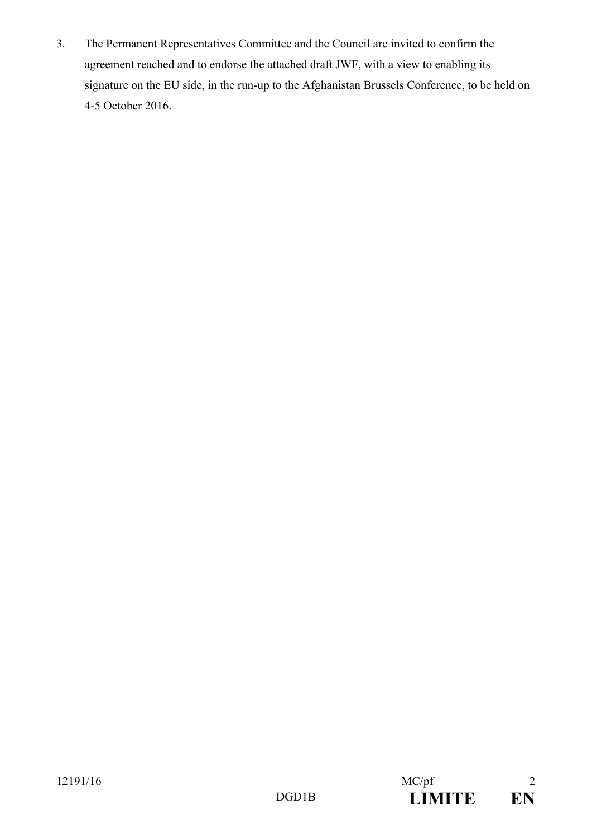3. The Permanent Representatives Committee and the Council are invited to confirm the agreement reached and to endorse the attached draft JWF, with a view to enabling its signature on the EU side, in the run-up to the Afghanistan Brussels Conference, to be held on 4-5 October 2016.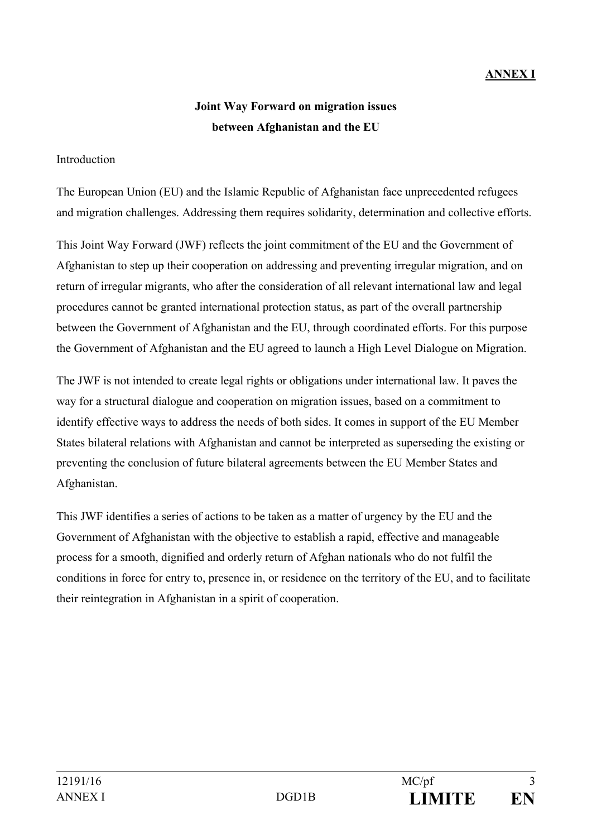### **ANNEX I**

## **Joint Way Forward on migration issues between Afghanistan and the EU**

#### Introduction

The European Union (EU) and the Islamic Republic of Afghanistan face unprecedented refugees and migration challenges. Addressing them requires solidarity, determination and collective efforts.

This Joint Way Forward (JWF) reflects the joint commitment of the EU and the Government of Afghanistan to step up their cooperation on addressing and preventing irregular migration, and on return of irregular migrants, who after the consideration of all relevant international law and legal procedures cannot be granted international protection status, as part of the overall partnership between the Government of Afghanistan and the EU, through coordinated efforts. For this purpose the Government of Afghanistan and the EU agreed to launch a High Level Dialogue on Migration.

The JWF is not intended to create legal rights or obligations under international law. It paves the way for a structural dialogue and cooperation on migration issues, based on a commitment to identify effective ways to address the needs of both sides. It comes in support of the EU Member States bilateral relations with Afghanistan and cannot be interpreted as superseding the existing or preventing the conclusion of future bilateral agreements between the EU Member States and Afghanistan.

This JWF identifies a series of actions to be taken as a matter of urgency by the EU and the Government of Afghanistan with the objective to establish a rapid, effective and manageable process for a smooth, dignified and orderly return of Afghan nationals who do not fulfil the conditions in force for entry to, presence in, or residence on the territory of the EU, and to facilitate their reintegration in Afghanistan in a spirit of cooperation.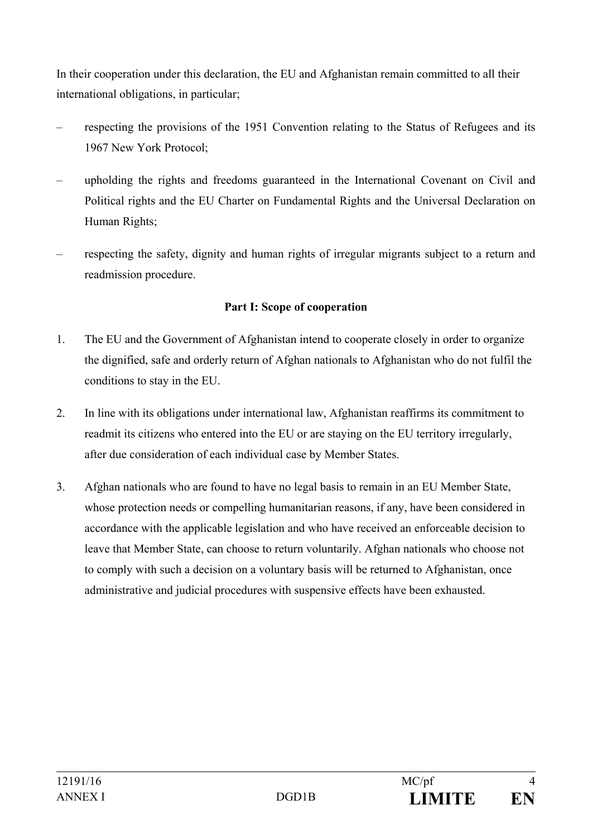In their cooperation under this declaration, the EU and Afghanistan remain committed to all their international obligations, in particular;

- respecting the provisions of the 1951 Convention relating to the Status of Refugees and its 1967 New York Protocol;
- upholding the rights and freedoms guaranteed in the International Covenant on Civil and Political rights and the EU Charter on Fundamental Rights and the Universal Declaration on Human Rights;
- respecting the safety, dignity and human rights of irregular migrants subject to a return and readmission procedure.

#### **Part I: Scope of cooperation**

- 1. The EU and the Government of Afghanistan intend to cooperate closely in order to organize the dignified, safe and orderly return of Afghan nationals to Afghanistan who do not fulfil the conditions to stay in the EU.
- 2. In line with its obligations under international law, Afghanistan reaffirms its commitment to readmit its citizens who entered into the EU or are staying on the EU territory irregularly, after due consideration of each individual case by Member States.
- 3. Afghan nationals who are found to have no legal basis to remain in an EU Member State, whose protection needs or compelling humanitarian reasons, if any, have been considered in accordance with the applicable legislation and who have received an enforceable decision to leave that Member State, can choose to return voluntarily. Afghan nationals who choose not to comply with such a decision on a voluntary basis will be returned to Afghanistan, once administrative and judicial procedures with suspensive effects have been exhausted.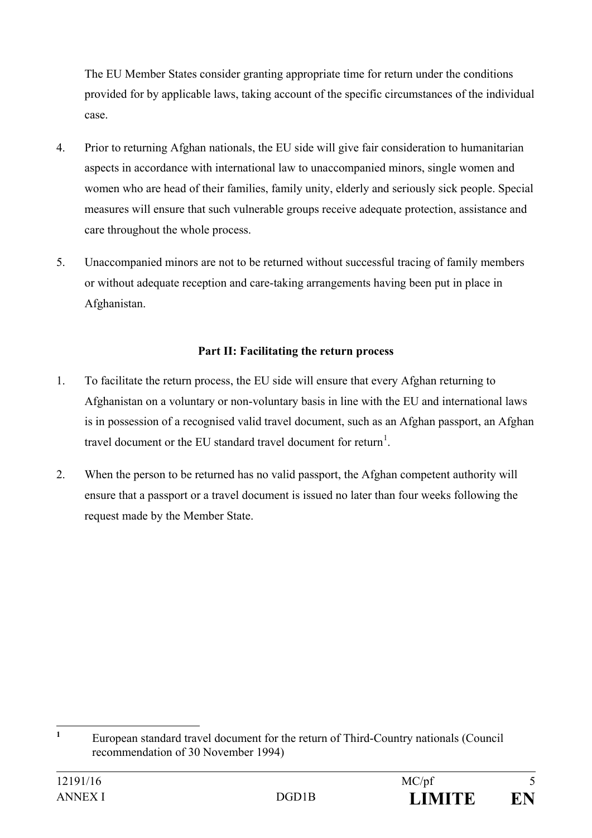The EU Member States consider granting appropriate time for return under the conditions provided for by applicable laws, taking account of the specific circumstances of the individual case.

- 4. Prior to returning Afghan nationals, the EU side will give fair consideration to humanitarian aspects in accordance with international law to unaccompanied minors, single women and women who are head of their families, family unity, elderly and seriously sick people. Special measures will ensure that such vulnerable groups receive adequate protection, assistance and care throughout the whole process.
- 5. Unaccompanied minors are not to be returned without successful tracing of family members or without adequate reception and care-taking arrangements having been put in place in Afghanistan.

### **Part II: Facilitating the return process**

- 1. To facilitate the return process, the EU side will ensure that every Afghan returning to Afghanistan on a voluntary or non-voluntary basis in line with the EU and international laws is in possession of a recognised valid travel document, such as an Afghan passport, an Afghan travel document or the EU standard travel document for return<sup>[1](#page-4-0)</sup>.
- 2. When the person to be returned has no valid passport, the Afghan competent authority will ensure that a passport or a travel document is issued no later than four weeks following the request made by the Member State.

<span id="page-4-0"></span>**<sup>1</sup>** European standard travel document for the return of Third-Country nationals (Council recommendation of 30 November 1994)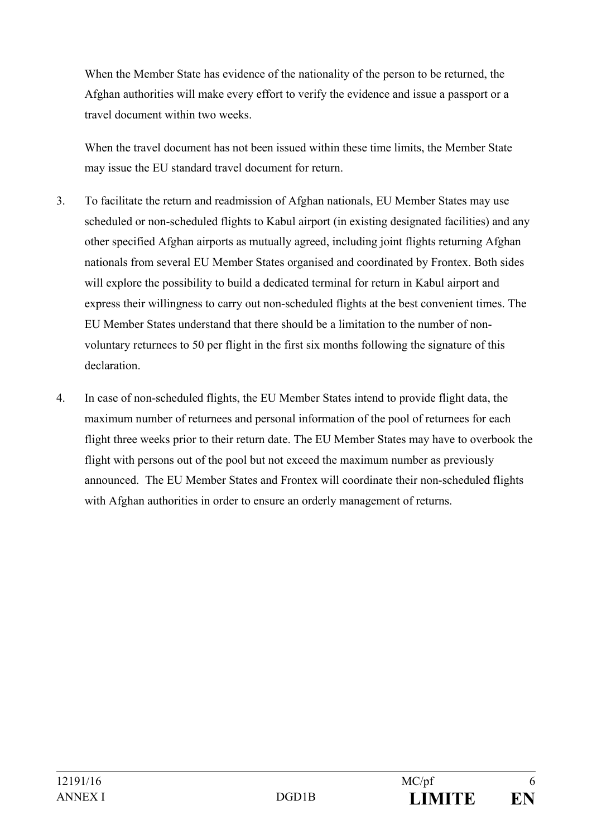When the Member State has evidence of the nationality of the person to be returned, the Afghan authorities will make every effort to verify the evidence and issue a passport or a travel document within two weeks.

When the travel document has not been issued within these time limits, the Member State may issue the EU standard travel document for return.

- 3. To facilitate the return and readmission of Afghan nationals, EU Member States may use scheduled or non-scheduled flights to Kabul airport (in existing designated facilities) and any other specified Afghan airports as mutually agreed, including joint flights returning Afghan nationals from several EU Member States organised and coordinated by Frontex. Both sides will explore the possibility to build a dedicated terminal for return in Kabul airport and express their willingness to carry out non-scheduled flights at the best convenient times. The EU Member States understand that there should be a limitation to the number of nonvoluntary returnees to 50 per flight in the first six months following the signature of this declaration.
- 4. In case of non-scheduled flights, the EU Member States intend to provide flight data, the maximum number of returnees and personal information of the pool of returnees for each flight three weeks prior to their return date. The EU Member States may have to overbook the flight with persons out of the pool but not exceed the maximum number as previously announced. The EU Member States and Frontex will coordinate their non-scheduled flights with Afghan authorities in order to ensure an orderly management of returns.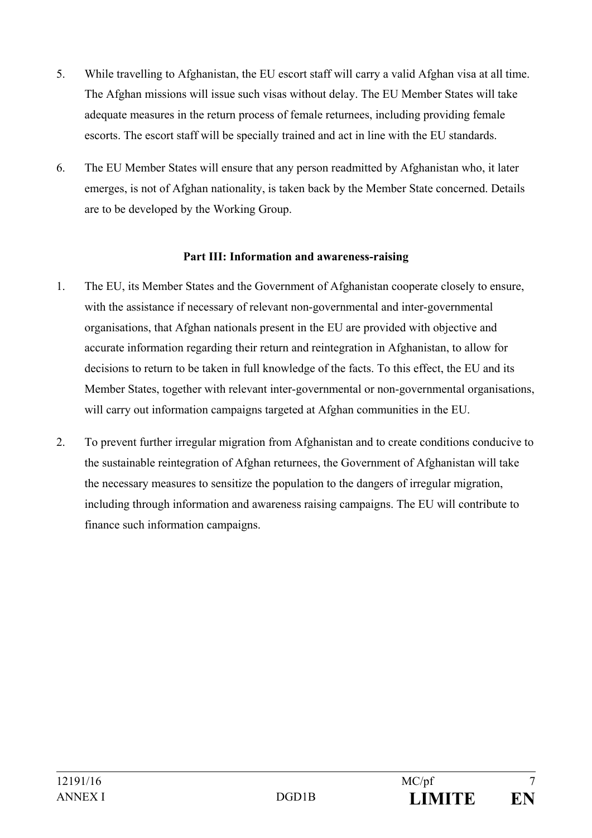- 5. While travelling to Afghanistan, the EU escort staff will carry a valid Afghan visa at all time. The Afghan missions will issue such visas without delay. The EU Member States will take adequate measures in the return process of female returnees, including providing female escorts. The escort staff will be specially trained and act in line with the EU standards.
- 6. The EU Member States will ensure that any person readmitted by Afghanistan who, it later emerges, is not of Afghan nationality, is taken back by the Member State concerned. Details are to be developed by the Working Group.

### **Part III: Information and awareness-raising**

- 1. The EU, its Member States and the Government of Afghanistan cooperate closely to ensure, with the assistance if necessary of relevant non-governmental and inter-governmental organisations, that Afghan nationals present in the EU are provided with objective and accurate information regarding their return and reintegration in Afghanistan, to allow for decisions to return to be taken in full knowledge of the facts. To this effect, the EU and its Member States, together with relevant inter-governmental or non-governmental organisations, will carry out information campaigns targeted at Afghan communities in the EU.
- 2. To prevent further irregular migration from Afghanistan and to create conditions conducive to the sustainable reintegration of Afghan returnees, the Government of Afghanistan will take the necessary measures to sensitize the population to the dangers of irregular migration, including through information and awareness raising campaigns. The EU will contribute to finance such information campaigns.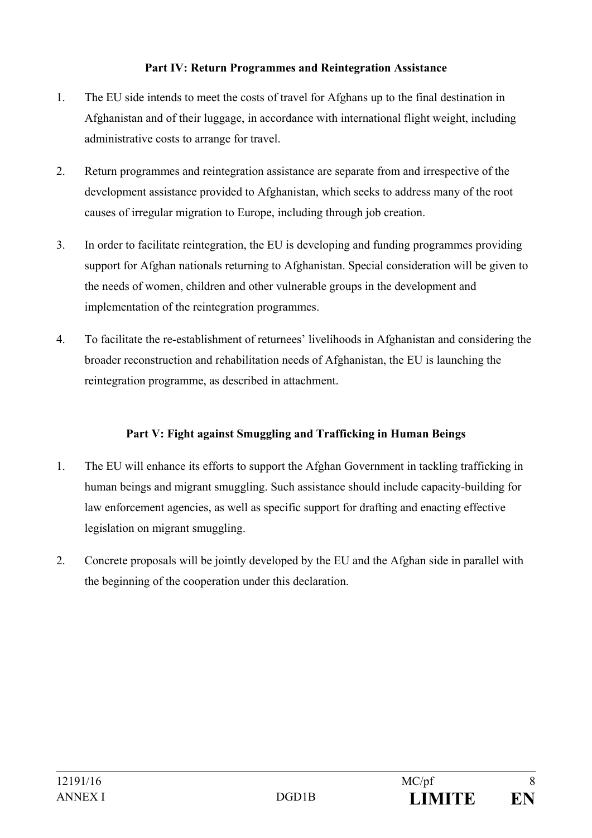### **Part IV: Return Programmes and Reintegration Assistance**

- 1. The EU side intends to meet the costs of travel for Afghans up to the final destination in Afghanistan and of their luggage, in accordance with international flight weight, including administrative costs to arrange for travel.
- 2. Return programmes and reintegration assistance are separate from and irrespective of the development assistance provided to Afghanistan, which seeks to address many of the root causes of irregular migration to Europe, including through job creation.
- 3. In order to facilitate reintegration, the EU is developing and funding programmes providing support for Afghan nationals returning to Afghanistan. Special consideration will be given to the needs of women, children and other vulnerable groups in the development and implementation of the reintegration programmes.
- 4. To facilitate the re-establishment of returnees' livelihoods in Afghanistan and considering the broader reconstruction and rehabilitation needs of Afghanistan, the EU is launching the reintegration programme, as described in attachment.

### **Part V: Fight against Smuggling and Trafficking in Human Beings**

- 1. The EU will enhance its efforts to support the Afghan Government in tackling trafficking in human beings and migrant smuggling. Such assistance should include capacity-building for law enforcement agencies, as well as specific support for drafting and enacting effective legislation on migrant smuggling.
- 2. Concrete proposals will be jointly developed by the EU and the Afghan side in parallel with the beginning of the cooperation under this declaration.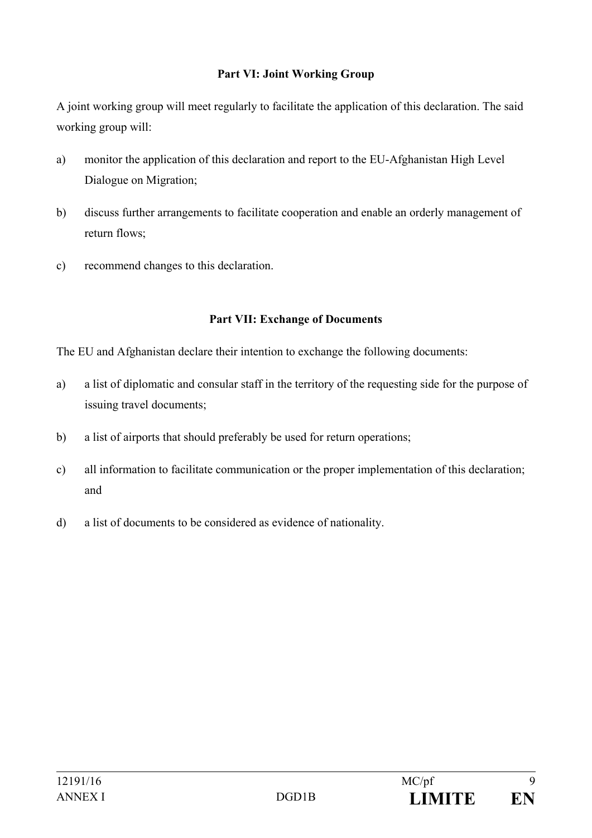### **Part VI: Joint Working Group**

A joint working group will meet regularly to facilitate the application of this declaration. The said working group will:

- a) monitor the application of this declaration and report to the EU-Afghanistan High Level Dialogue on Migration;
- b) discuss further arrangements to facilitate cooperation and enable an orderly management of return flows;
- c) recommend changes to this declaration.

#### **Part VII: Exchange of Documents**

The EU and Afghanistan declare their intention to exchange the following documents:

- a) a list of diplomatic and consular staff in the territory of the requesting side for the purpose of issuing travel documents;
- b) a list of airports that should preferably be used for return operations;
- c) all information to facilitate communication or the proper implementation of this declaration; and
- d) a list of documents to be considered as evidence of nationality.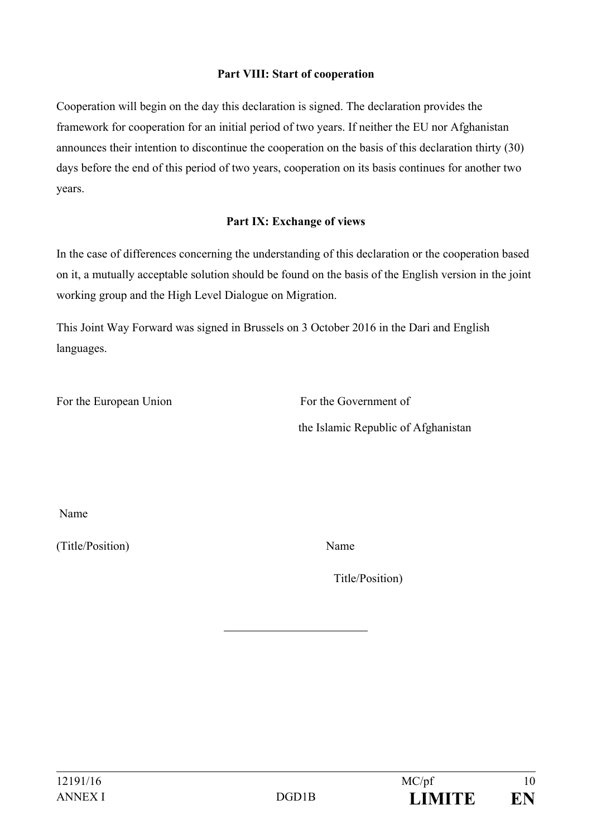### **Part VIII: Start of cooperation**

Cooperation will begin on the day this declaration is signed. The declaration provides the framework for cooperation for an initial period of two years. If neither the EU nor Afghanistan announces their intention to discontinue the cooperation on the basis of this declaration thirty (30) days before the end of this period of two years, cooperation on its basis continues for another two years.

#### **Part IX: Exchange of views**

In the case of differences concerning the understanding of this declaration or the cooperation based on it, a mutually acceptable solution should be found on the basis of the English version in the joint working group and the High Level Dialogue on Migration.

This Joint Way Forward was signed in Brussels on 3 October 2016 in the Dari and English languages.

For the European Union For the Government of

the Islamic Republic of Afghanistan

Name

(Title/Position) Name

Title/Position)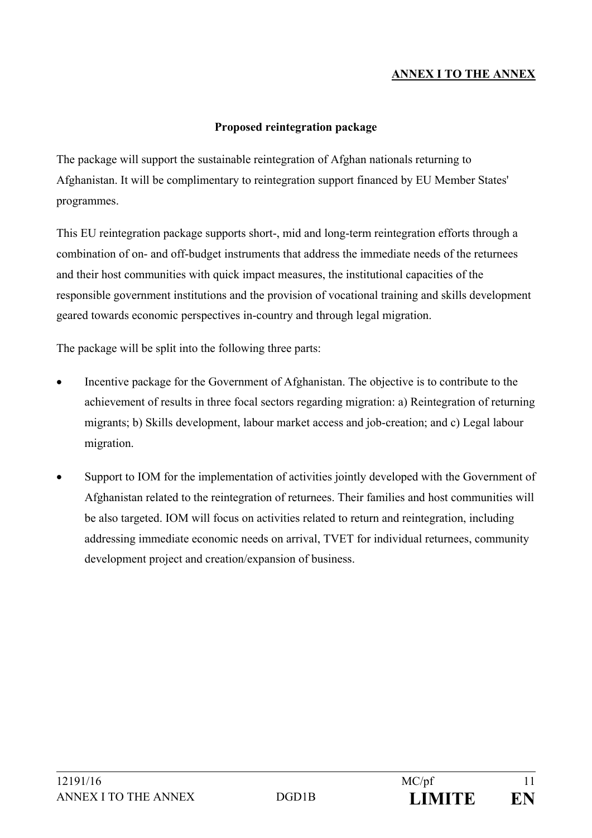### **ANNEX I TO THE ANNEX**

#### **Proposed reintegration package**

The package will support the sustainable reintegration of Afghan nationals returning to Afghanistan. It will be complimentary to reintegration support financed by EU Member States' programmes.

This EU reintegration package supports short-, mid and long-term reintegration efforts through a combination of on- and off-budget instruments that address the immediate needs of the returnees and their host communities with quick impact measures, the institutional capacities of the responsible government institutions and the provision of vocational training and skills development geared towards economic perspectives in-country and through legal migration.

The package will be split into the following three parts:

- Incentive package for the Government of Afghanistan. The objective is to contribute to the achievement of results in three focal sectors regarding migration: a) Reintegration of returning migrants; b) Skills development, labour market access and job-creation; and c) Legal labour migration.
- Support to IOM for the implementation of activities jointly developed with the Government of Afghanistan related to the reintegration of returnees. Their families and host communities will be also targeted. IOM will focus on activities related to return and reintegration, including addressing immediate economic needs on arrival, TVET for individual returnees, community development project and creation/expansion of business.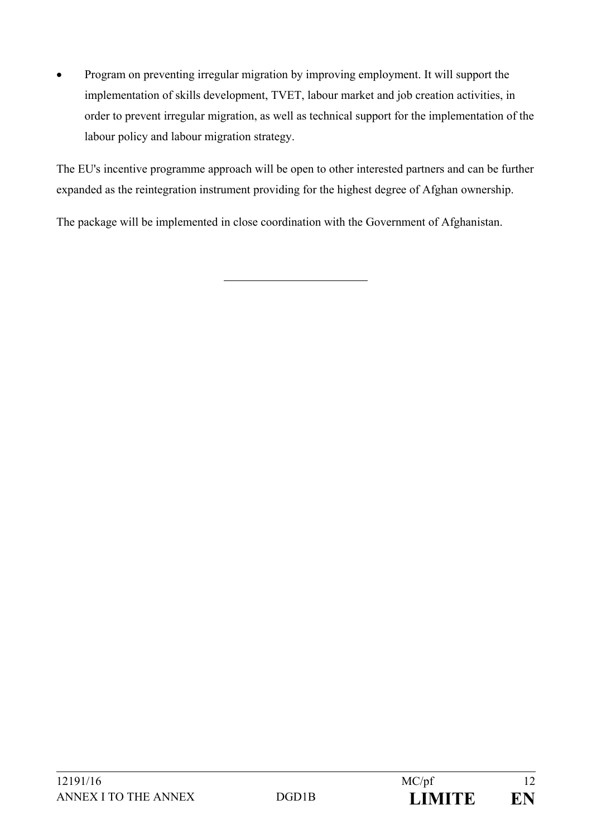• Program on preventing irregular migration by improving employment. It will support the implementation of skills development, TVET, labour market and job creation activities, in order to prevent irregular migration, as well as technical support for the implementation of the labour policy and labour migration strategy.

The EU's incentive programme approach will be open to other interested partners and can be further expanded as the reintegration instrument providing for the highest degree of Afghan ownership.

The package will be implemented in close coordination with the Government of Afghanistan.